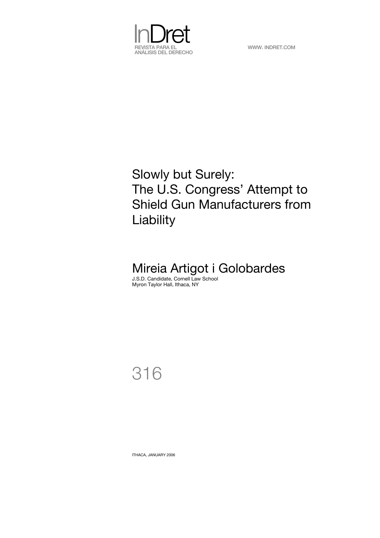

**REVISTA PARA EL WWW. INDRET.COM** 

# Slowly but Surely: The U.S. Congress' Attempt to Shield Gun Manufacturers from Liability

# Mireia Artigot i Golobardes

J.S.D. Candidate, Cornell Law School Myron Taylor Hall, Ithaca, NY



ITHACA, JANUARY 2006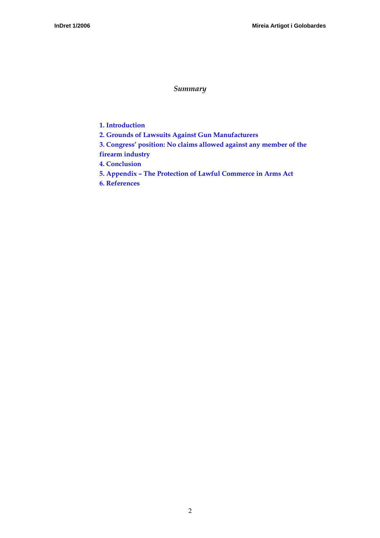# *Summary*

# **[1. Introduction](#page-2-0)**

- **[2. Grounds of Lawsuits Against Gun Manufacturers](#page-4-0)**
- **[3. Congress' position: No claims allowed against any member of the](#page-8-0)  [firearm industry](#page-8-0)**
- **[4. Conclusion](#page-10-0)**
- **[5. Appendix The Protection of Lawful Commerce in Arms Act](#page-12-0)**
- **[6. References](#page-20-0)**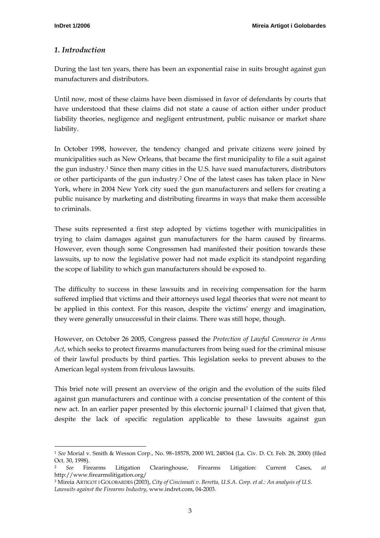### <span id="page-2-0"></span>*1. Introduction*

During the last ten years, there has been an exponential raise in suits brought against gun manufacturers and distributors.

Until now, most of these claims have been dismissed in favor of defendants by courts that have understood that these claims did not state a cause of action either under product liability theories, negligence and negligent entrustment, public nuisance or market share liability.

In October 1998, however, the tendency changed and private citizens were joined by municipalities such as New Orleans, that became the first municipality to file a suit against the gun industry[.1](#page-2-1) Since then many cities in the U.S. have sued manufacturers, distributors or other participants of the gun industry[.2](#page-2-2) One of the latest cases has taken place in New York, where in 2004 New York city sued the gun manufacturers and sellers for creating a public nuisance by marketing and distributing firearms in ways that make them accessible to criminals.

These suits represented a first step adopted by victims together with municipalities in trying to claim damages against gun manufacturers for the harm caused by firearms. However, even though some Congressmen had manifested their position towards these lawsuits, up to now the legislative power had not made explicit its standpoint regarding the scope of liability to which gun manufacturers should be exposed to.

The difficulty to success in these lawsuits and in receiving compensation for the harm suffered implied that victims and their attorneys used legal theories that were not meant to be applied in this context. For this reason, despite the victims' energy and imagination, they were generally unsuccessful in their claims. There was still hope, though.

However, on October 26 2005, Congress passed the *Protection of Lawful Commerce in Arms Act*, which seeks to protect firearms manufacturers from being sued for the criminal misuse of their lawful products by third parties. This legislation seeks to prevent abuses to the American legal system from frivulous lawsuits.

This brief note will present an overview of the origin and the evolution of the suits filed against gun manufacturers and continue with a concise presentation of the content of this new act. In an earlier paper presented by this electornic journal[3](#page-2-3) I claimed that given that, despite the lack of specific regulation applicable to these lawsuits against gun

<span id="page-2-1"></span> <sup>1</sup> *See* Morial v. Smith & Wesson Corp., No. 98–18578, 2000 WL 248364 (La. Civ. D. Ct. Feb. 28, 2000) (filed Oct. 30, 1998).

<span id="page-2-2"></span><sup>2</sup> *See* Firearms Litigation Clearinghouse, Firearms Litigation: Current Cases, *at* <http://www.firearmslitigation.org/>

<span id="page-2-3"></span><sup>3</sup> Mireia ARTIGOT I GOLOBARDES (2003), *City of Cincinnati v. Beretta, U.S.A. Corp. et al.: An analysis of U.S. Lawsuits against the Firearms Industry*, www.indret.com, 04-2003.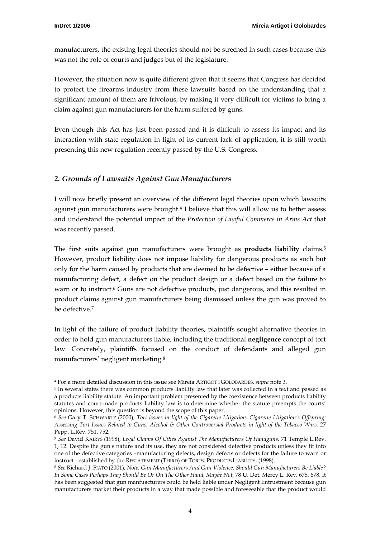<span id="page-3-4"></span>manufacturers, the existing legal theories should not be streched in such cases because this was not the role of courts and judges but of the legislature.

However, the situation now is quite different given that it seems that Congress has decided to protect the firearms industry from these lawsuits based on the understanding that a significant amount of them are frivolous, by making it very difficult for victims to bring a claim against gun manufacturers for the harm suffered by guns.

Even though this Act has just been passed and it is difficult to assess its impact and its interaction with state regulation in light of its current lack of application, it is still worth presenting this new regulation recently passed by the U.S. Congress.

# *2. Grounds of Lawsuits Against Gun Manufacturers*

I will now briefly present an overview of the different legal theories upon which lawsuits against gun manufacturers were brought[.4](#page-3-0) I believe that this will allow us to better assess and understand the potential impact of the *Protection of Lawful Commerce in Arms Act* that was recently passed.

The first suits against gun manufacturers were brought as **products liability** claims[.5](#page-3-1) However, product liability does not impose liability for dangerous products as such but only for the harm caused by products that are deemed to be defective – either because of a manufacturing defect, a defect on the product design or a defect based on the failure to warn or to instruct.<sup>6</sup> Guns are not defective products, just dangerous, and this resulted in product claims against gun manufacturers being dismissed unless the gun was proved to be defective[.7](#page-3-3) 

In light of the failure of product liability theories, plaintiffs sought alternative theories in order to hold gun manufacturers liable, including the traditional **negligence** concept of tort law. Concretely, plaintiffs focused on the conduct of defendants and alleged gun manufacturers' negligent marketing[.8](#page-3-4) 

<span id="page-3-0"></span> <sup>4</sup> For a more detailed discussion in this issue see Mireia ARTIGOT I GOLOBARDES, *supra* note 3.

<span id="page-3-1"></span><sup>5</sup> In several states there was common products liability law that later was collected in a text and passed as a products liability statute. An important problem presented by the coexistence between products liability statutes and court-made products liability law is to determine whether the statute preempts the courts' opinions. However, this question is beyond the scope of this paper.

<span id="page-3-2"></span><sup>6</sup> *See* Gary T. SCHWARTZ (2000), *Tort issues in light of the Cigarette Litigation: Cigarette Litigation's Offspring: Assessing Tort Issues Related to Guns, Alcohol & Other Controversial Products in light of the Tobacco Wars*, 27 Pepp. L.Rev. 751, 752.

<span id="page-3-3"></span><sup>7</sup> *See* David KAIRYS (1998), *Legal Claims Of Cities Against The Manufacturers Of Handguns*, 71 Temple L.Rev. 1, 12. Despite the gun's nature and its use, they are not considered defective products unless they fit into one of the defective categories –manufacturing defects, design defects or defects for the failure to warn or instruct - established by the RESTATEMENT (THIRD) OF TORTS: PRODUCTS LIABILITY, (1998).

<sup>8</sup> *See* Richard J. FIATO (2001), *Note: Gun Manufacturers And Gun Violence: Should Gun Manufacturers Be Liable? In Some Cases Perhaps They Should Be Or On The Other Hand, Maybe Not*, 78 U. Det. Mercy L. Rev. 675, 678. It has been suggested that gun manfuacturers could be held liable under Negligent Entrustment because gun manufacturers market their products in a way that made possible and foreseeable that the product would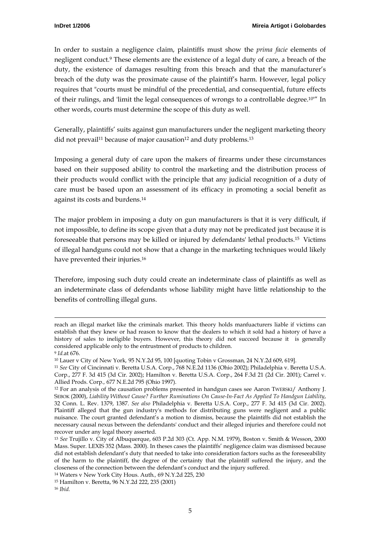<span id="page-4-0"></span>In order to sustain a negligence claim, plaintiffs must show the *prima facie* elements of negligent conduct[.9](#page-4-1) These elements are the existence of a legal duty of care, a breach of the duty, the existence of damages resulting from this breach and that the manufacturer's breach of the duty was the proximate cause of the plaintiff's harm. However, legal policy requires that "courts must be mindful of the precedential, and consequential, future effects of their rulings, and 'limit the legal consequences of wrongs to a controllable degree[.10'"](#page-4-2) In other words, courts must determine the scope of this duty as well.

Generally, plaintiffs' suits against gun manufacturers under the negligent marketing theory did not prevail<sup>11</sup> because of major causation<sup>12</sup> and duty problems.<sup>13</sup>

Imposing a general duty of care upon the makers of firearms under these circumstances based on their supposed ability to control the marketing and the distribution process of their products would conflict with the principle that any judicial recognition of a duty of care must be based upon an assessment of its efficacy in promoting a social benefit as against its costs and burdens[.14](#page-4-6) 

The major problem in imposing a duty on gun manufacturers is that it is very difficult, if not impossible, to define its scope given that a duty may not be predicated just because it is foreseeable that persons may be killed or injured by defendants' lethal products[.15](#page-4-7) Victims of illegal handguns could not show that a change in the marketing techniques would likely have prevented their injuries[.16](#page-4-8) 

Therefore, imposing such duty could create an indeterminate class of plaintiffs as well as an indeterminate class of defendants whose liability might have little relationship to the benefits of controlling illegal guns.

-

reach an illegal market like the criminals market. This theory holds manfuacturers liable if victims can establish that they knew or had reason to know that the dealers to which it sold had a history of have a history of sales to ineligible buyers. However, this theory did not succeed because it is generally considered applicable only to the entrustment of products to children.

<span id="page-4-1"></span><sup>9</sup> *Id.*at 676.

<span id="page-4-2"></span><sup>10</sup> Lauer v City of New York*,* 95 N.Y.2d 95, 100 [quoting Tobin v Grossman*,* 24 N.Y.2d 609, 619].

<span id="page-4-3"></span><sup>11</sup> *See* City of Cincinnati v. Beretta U.S.A. Corp., 768 N.E.2d 1136 (Ohio 2002); Philadelphia v. Beretta U.S.A. Corp., 277 F. 3d 415 (3d Cir. 2002); Hamilton v. Beretta U.S.A. Corp., 264 F.3d 21 (2d Cir. 2001); Carrel v. Allied Prods. Corp.*,* 677 N.E.2d 795 (Ohio 1997).

<span id="page-4-4"></span><sup>12</sup> For an analysis of the causation problems presented in handgun cases see Aaron TWERSKI/ Anthony J. SEBOK (2000), *Liability Without Cause? Further Ruminations On Cause-In-Fact As Applied To Handgun Liability*, 32 Conn. L. Rev. 1379, 1387. *See also* Philadelphia v. Beretta U.S.A. Corp., 277 F. 3d 415 (3d Cir. 2002). Plaintiff alleged that the gun industry's methods for distributing guns were negligent and a public nuisance. The court granted defendant's a motion to dismiss, because the plaintiffs did not establish the necessary causal nexus between the defendants' conduct and their alleged injuries and therefore could not recover under any legal theory asserted.

<span id="page-4-5"></span><sup>13</sup> *See* Trujillo v. City of Albuquerque, 603 P.2d 303 (Ct. App. N.M. 1979), Boston v. Smith & Wesson, 2000 Mass. Super. LEXIS 352 (Mass. 2000). In theses cases the plaintiffs' negligence claim was dismissed because did not establish defendant's duty that needed to take into consideration factors suchs as the foreseeability of the harm to the plaintiff, the degree of the certainty that the plaintiff suffered the injury, and the closeness of the connection between the defendant's conduct and the injury suffered.

<span id="page-4-6"></span><sup>14</sup> Waters v New York City Hous. Auth*.,* 69 N.Y.2d 225, 230

<span id="page-4-7"></span><sup>15</sup> Hamilton v. Beretta, 96 N.Y.2d 222, 235 (2001)

<span id="page-4-8"></span><sup>16</sup> *Ibid.*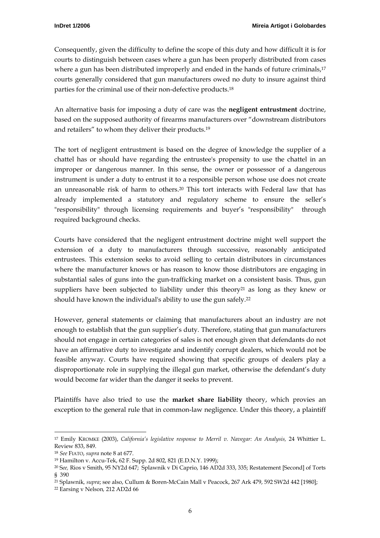Consequently, given the difficulty to define the scope of this duty and how difficult it is for courts to distinguish between cases where a gun has been properly distributed from cases where a gun has been distributed improperly and ended in the hands of future criminals,<sup>17</sup> courts generally considered that gun manufacturers owed no duty to insure against third parties for the criminal use of their non-defective products.[18](#page-5-1) 

An alternative basis for imposing a duty of care was the **negligent entrustment** doctrine, based on the supposed authority of firearms manufacturers over "downstream distributors and retailers" to whom they deliver their products.[19](#page-5-2) 

The tort of negligent entrustment is based on the degree of knowledge the supplier of a chattel has or should have regarding the entrustee's propensity to use the chattel in an improper or dangerous manner. In this sense, the owner or possessor of a dangerous instrument is under a duty to entrust it to a responsible person whose use does not create an unreasonable risk of harm to others.[20](#page-5-3) This tort interacts with Federal law that has already implemented a statutory and regulatory scheme to ensure the seller's "responsibility" through licensing requirements and buyer's "responsibility" through required background checks.

Courts have considered that the negligent entrustment doctrine might well support the extension of a duty to manufacturers through successive, reasonably anticipated entrustees. This extension seeks to avoid selling to certain distributors in circumstances where the manufacturer knows or has reason to know those distributors are engaging in substantial sales of guns into the gun-trafficking market on a consistent basis. Thus, gun suppliers have been subjected to liability under this theory<sup>21</sup> as long as they knew or should have known the individual's ability to use the gun safely.<sup>22</sup>

However, general statements or claiming that manufacturers about an industry are not enough to establish that the gun supplier's duty. Therefore, stating that gun manufacturers should not engage in certain categories of sales is not enough given that defendants do not have an affirmative duty to investigate and indentify corrupt dealers, which would not be feasible anyway. Courts have required showing that specific groups of dealers play a disproportionate role in supplying the illegal gun market, otherwise the defendant's duty would become far wider than the danger it seeks to prevent.

Plaintiffs have also tried to use the **market share liability** theory, which provies an exception to the general rule that in common-law negligence. Under this theory, a plaintiff

<span id="page-5-0"></span> <sup>17</sup> Emily KROMKE (2003), *California's legislative response to Merril v. Navegar: An Analysis,* 24 Whittier L. Review 833, 849.

<span id="page-5-1"></span><sup>18</sup> *See* FIATO, *supra* note 8 at 677.

<span id="page-5-2"></span><sup>19</sup> Hamilton v. Accu-Tek, 62 F. Supp. 2d 802, 821 (E.D.N.Y. 1999);

<span id="page-5-3"></span><sup>20</sup> S*ee,* Rios v Smith, 95 NY2d 647; Splawnik v Di Caprio, 146 AD2d 333, 335; Restatement [Second] of Torts § 390

<span id="page-5-4"></span><sup>21</sup> Splawnik*, supra*; see also, Cullum & Boren-McCain Mall v Peacock, 267 Ark 479, 592 SW2d 442 [1980];

<span id="page-5-5"></span><sup>22</sup> Earsing v Nelson*,* 212 AD2d 66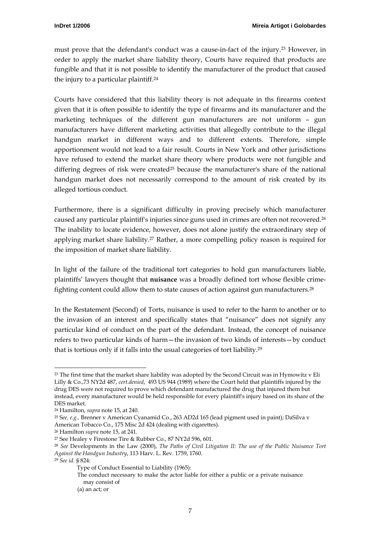<span id="page-6-6"></span>must prove that the defendant's conduct was a cause-in-fact of the injury[.23](#page-6-0) However, in order to apply the market share liability theory, Courts have required that products are fungible and that it is not possible to identify the manufacturer of the product that caused the injury to a particular plaintiff.[24](#page-6-1) 

Courts have considered that this liability theory is not adequate in ths firearms context given that it is often possible to identify the type of firearms and its manufacturer and the marketing techniques of the different gun manufacturers are not uniform – gun manufacturers have different marketing activities that allegedly contribute to the illegal handgun market in different ways and to different extents. Therefore, simple apportionment would not lead to a fair result. Courts in New York and other jurisdictions have refused to extend the market share theory where products were not fungible and differing degrees of risk were created<sup>25</sup> because the manufacturer's share of the national handgun market does not necessarily correspond to the amount of risk created by its alleged tortious conduct.

Furthermore, there is a significant difficulty in proving precisely which manufacturer caused any particular plaintiff's injuries since guns used in crimes are often not recovered[.26](#page-6-3) The inability to locate evidence, however, does not alone justify the extraordinary step of applying market share liability[.27](#page-6-4) Rather, a more compelling policy reason is required for the imposition of market share liability.

In light of the failure of the traditional tort categories to hold gun manufacturers liable, plaintiffs' lawyers thought that **nuisance** was a broadly defined tort whose flexible crimefighting content could allow them to state causes of action against gun manufacturers.[28](#page-6-5) 

In the Restatement (Second) of Torts, nuisance is used to refer to the harm to another or to the invasion of an interest and specifically states that "nuisance" does not signify any particular kind of conduct on the part of the defendant. Instead, the concept of nuisance refers to two particular kinds of harm—the invasion of two kinds of interests—by conduct that is tortious only if it falls into the usual categories of tort liability.[29](#page-6-6) 

<span id="page-6-0"></span><sup>&</sup>lt;sup>23</sup> The first time that the market share liability was adopted by the Second Circuit was in Hymowitz y Eli Lilly & Co.,73 NY2d 487, *cert.denied*, 493 US 944 (1989) where the Court held that plaintiffs injured by the drug DES were not required to prove which defendant manufactured the drug that injured them but instead, every manufacturer would be held responsible for every plaintiff's injury based on its share of the DES market.

<span id="page-6-1"></span><sup>24</sup> Hamilton, *supra* note 15, at 240.

<span id="page-6-2"></span><sup>25</sup> S*ee, e.g.,* Brenner v American Cyanamid Co., 263 AD2d 165 (lead pigment used in paint); DaSilva v American Tobacco Co., 175 Misc 2d 424 (dealing with cigarettes).

<span id="page-6-3"></span><sup>26</sup> Hamilton *supra* note 15, at 241.

<span id="page-6-4"></span><sup>27</sup> See Healey v Firestone Tire & Rubber Co., 87 NY2d 596, 601.

<span id="page-6-5"></span><sup>28</sup> *See* Developments in the Law (2000), *The Paths of Civil Litigation II: The use of the Public Nuisance Tort Against the Handgun Industry*, 113 Harv. L. Rev. 1759, 1760.

<sup>29</sup> *See id.* § 824:

Type of Conduct Essential to Liability (1965):

The conduct necessary to make the actor liable for either a public or a private nuisance may consist of

<sup>(</sup>a) an act; or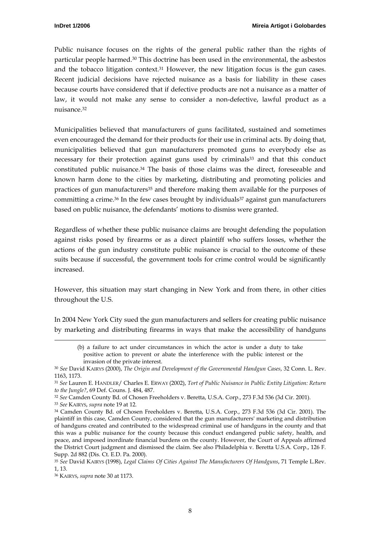Public nuisance focuses on the rights of the general public rather than the rights of particular people harmed.[30](#page-7-0) This doctrine has been used in the environmental, the asbestos and the tobacco litigation context.<sup>31</sup> However, the new litigation focus is the gun cases. Recent judicial decisions have rejected nuisance as a basis for liability in these cases because courts have considered that if defective products are not a nuisance as a matter of law, it would not make any sense to consider a non-defective, lawful product as a nuisance[.32](#page-7-2)

Municipalities believed that manufacturers of guns facilitated, sustained and sometimes even encouraged the demand for their products for their use in criminal acts. By doing that, municipalities believed that gun manufacturers promoted guns to everybody else as necessary for their protection against guns used by criminals<sup>33</sup> and that this conduct constituted public nuisance[.34](#page-7-4) The basis of those claims was the direct, foreseeable and known harm done to the cities by marketing, distributing and promoting policies and practices of gun manufacturers[35](#page-7-5) and therefore making them available for the purposes of committing a crime.<sup>36</sup> In the few cases brought by individuals<sup>37</sup> against gun manufacturers based on public nuisance, the defendants' motions to dismiss were granted.

Regardless of whether these public nuisance claims are brought defending the population against risks posed by firearms or as a direct plaintiff who suffers losses, whether the actions of the gun industry constitute public nuisance is crucial to the outcome of these suits because if successful, the government tools for crime control would be significantly increased.

However, this situation may start changing in New York and from there, in other cities throughout the U.S.

In 2004 New York City sued the gun manufacturers and sellers for creating public nuisance by marketing and distributing firearms in ways that make the accessibility of handguns

-

<sup>(</sup>b) a failure to act under circumstances in which the actor is under a duty to take positive action to prevent or abate the interference with the public interest or the invasion of the private interest.

<span id="page-7-0"></span><sup>30</sup> *See* David KAIRYS (2000), *The Origin and Development of the Governmental Handgun Cases*, 32 Conn. L. Rev. 1163, 1173.

<span id="page-7-1"></span><sup>31</sup> *See* Lauren E. HANDLER/ Charles E. ERWAY (2002), *Tort of Public Nuisance in Public Entity Litigation: Return to the Jungle?*, 69 Def. Couns. J. 484, 487.

<span id="page-7-2"></span><sup>32</sup> *See* Camden County Bd. of Chosen Freeholders v. Beretta, U.S.A. Corp., 273 F.3d 536 (3d Cir. 2001).

<span id="page-7-3"></span><sup>33</sup> *See* KAIRYS, *supra* note 19 at 12.

<span id="page-7-7"></span><span id="page-7-4"></span><sup>34</sup> Camden County Bd. of Chosen Freeholders v. Beretta, U.S.A. Corp., 273 F.3d 536 (3d Cir. 2001). The plaintiff in this case, Camden County, considered that the gun manufacturers' marketing and distribution of handguns created and contributed to the widespread criminal use of handguns in the county and that this was a public nuisance for the county because this conduct endangered public safety, health, and peace, and imposed inordinate financial burdens on the county. However, the Court of Appeals affirmed the District Court judgment and dismissed the claim. See also Philadelphia v. Beretta U.S.A. Corp., 126 F. Supp. 2d 882 (Dis. Ct. E.D. Pa. 2000).

<span id="page-7-5"></span><sup>35</sup> *See* David KAIRYS (1998), *Legal Claims Of Cities Against The Manufacturers Of Handguns*, 71 Temple L.Rev. 1, 13.

<span id="page-7-6"></span><sup>36</sup> KAIRYS, *supra* note 30 at 1173.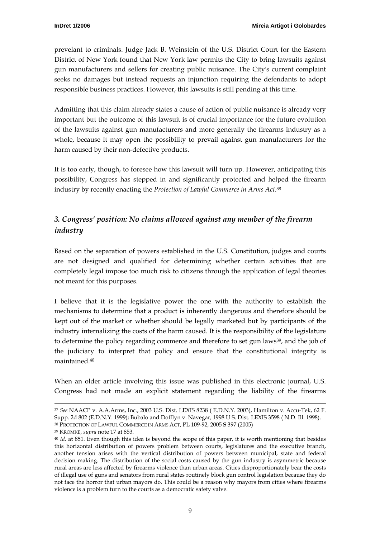<span id="page-8-0"></span>prevelant to criminals. Judge Jack B. Weinstein of the U.S. District Court for the Eastern District of New York found that New York law permits the City to bring lawsuits against gun manufacturers and sellers for creating public nuisance. The City's current complaint seeks no damages but instead requests an injunction requiring the defendants to adopt responsible business practices. However, this lawsuits is still pending at this time.

Admitting that this claim already states a cause of action of public nuisance is already very important but the outcome of this lawsuit is of crucial importance for the future evolution of the lawsuits against gun manufacturers and more generally the firearms industry as a whole, because it may open the possibility to prevail against gun manufacturers for the harm caused by their non-defective products.

It is too early, though, to foresee how this lawsuit will turn up. However, anticipating this possibility, Congress has stepped in and significantly protected and helped the firearm industry by recently enacting the *Protection of Lawful Commerce in Arms Act*[.38](#page-8-1)

# *3. Congress' position: No claims allowed against any member of the firearm industry*

Based on the separation of powers established in the U.S. Constitution, judges and courts are not designed and qualified for determining whether certain activities that are completely legal impose too much risk to citizens through the application of legal theories not meant for this purposes.

I believe that it is the legislative power the one with the authority to establish the mechanisms to determine that a product is inherently dangerous and therefore should be kept out of the market or whether should be legally marketed but by participants of the industry internalizing the costs of the harm caused. It is the responsibility of the legislature to determine the policy regarding commerce and therefore to set gun laws<sup>39</sup>, and the job of the judiciary to interpret that policy and ensure that the constitutional integrity is maintained[.40](#page-8-3) 

When an older article involving this issue was published in this electronic journal, U.S. Congress had not made an explicit statement regarding the liability of the firearms

<span id="page-8-2"></span><span id="page-8-1"></span>39 KROMKE, *supra* note 17 at 853.

 <sup>37</sup> *See* NAACP v. A.A.Arms, Inc., 2003 U.S. Dist. LEXIS 8238 ( E.D.N.Y. 2003), Hamilton v. Accu-Tek, 62 F. Supp. 2d 802 (E.D.N.Y. 1999); Bubalo and Dofflyn v. Navegar*,* 1998 U.S. Dist. LEXIS 3598 ( N.D. Ill. 1998). 38 PROTECTION OF LAWFUL COMMERCE IN ARMS ACT, PL 109-92, 2005 S 397 (2005)

<span id="page-8-3"></span><sup>40</sup> *Id.* at 851. Even though this idea is beyond the scope of this paper, it is worth mentioning that besides this horizontal distribution of powers problem between courts, legislatures and the executive branch, another tension arises with the vertical distribution of powers between municipal, state and federal decision making. The distribution of the social costs caused by the gun industry is asymmetric because rural areas are less affected by firearms violence than urban areas. Cities disproportionately bear the costs of illegal use of guns and senators from rural states routinely block gun control legislation because they do not face the horror that urban mayors do. This could be a reason why mayors from cities where firearms violence is a problem turn to the courts as a democratic safety valve.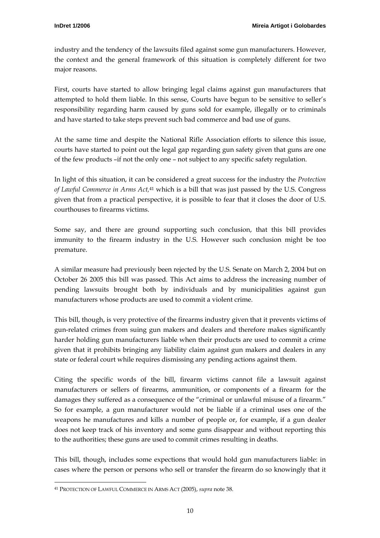industry and the tendency of the lawsuits filed against some gun manufacturers. However, the context and the general framework of this situation is completely different for two major reasons.

First, courts have started to allow bringing legal claims against gun manufacturers that attempted to hold them liable. In this sense, Courts have begun to be sensitive to seller's responsibility regarding harm caused by guns sold for example, illegally or to criminals and have started to take steps prevent such bad commerce and bad use of guns.

At the same time and despite the National Rifle Association efforts to silence this issue, courts have started to point out the legal gap regarding gun safety given that guns are one of the few products –if not the only one – not subject to any specific safety regulation.

In light of this situation, it can be considered a great success for the industry the *Protection of Lawful Commerce in Arms Act,*[41](#page-9-0) which is a bill that was just passed by the U.S. Congress given that from a practical perspective, it is possible to fear that it closes the door of U.S. courthouses to firearms victims.

Some say, and there are ground supporting such conclusion, that this bill provides immunity to the firearm industry in the U.S. However such conclusion might be too premature.

A similar measure had previously been rejected by the U.S. Senate on March 2, 2004 but on October 26 2005 this bill was passed. This Act aims to address the increasing number of pending lawsuits brought both by individuals and by municipalities against gun manufacturers whose products are used to commit a violent crime.

This bill, though, is very protective of the firearms industry given that it prevents victims of gun-related crimes from suing gun makers and dealers and therefore makes significantly harder holding gun manufacturers liable when their products are used to commit a crime given that it prohibits bringing any liability claim against gun makers and dealers in any state or federal court while requires dismissing any pending actions against them.

Citing the specific words of the bill, firearm victims cannot file a lawsuit against manufacturers or sellers of firearms, ammunition, or components of a firearm for the damages they suffered as a consequence of the "criminal or unlawful misuse of a firearm." So for example, a gun manufacturer would not be liable if a criminal uses one of the weapons he manufactures and kills a number of people or, for example, if a gun dealer does not keep track of his inventory and some guns disappear and without reporting this to the authorities; these guns are used to commit crimes resulting in deaths.

This bill, though, includes some expections that would hold gun manufacturers liable: in cases where the person or persons who sell or transfer the firearm do so knowingly that it

<span id="page-9-0"></span> <sup>41</sup> PROTECTION OF LAWFUL COMMERCE IN ARMS ACT (2005), *supra* note 38.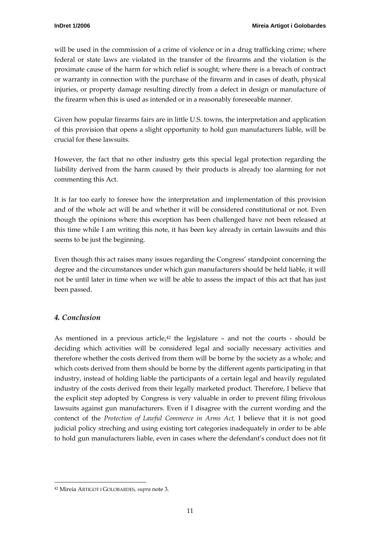<span id="page-10-0"></span>will be used in the commission of a crime of violence or in a drug trafficking crime; where federal or state laws are violated in the transfer of the firearms and the violation is the proximate cause of the harm for which relief is sought; where there is a breach of contract or warranty in connection with the purchase of the firearm and in cases of death, physical injuries, or property damage resulting directly from a defect in design or manufacture of the firearm when this is used as intended or in a reasonably foreseeable manner.

Given how popular firearms fairs are in little U.S. towns, the interpretation and application of this provision that opens a slight opportunity to hold gun manufacturers liable, will be crucial for these lawsuits.

However, the fact that no other industry gets this special legal protection regarding the liability derived from the harm caused by their products is already too alarming for not commenting this Act.

It is far too early to foresee how the interpretation and implementation of this provision and of the whole act will be and whether it will be considered constitutional or not. Even though the opinions where this exception has been challenged have not been released at this time while I am writing this note, it has been key already in certain lawsuits and this seems to be just the beginning.

Even though this act raises many issues regarding the Congress' standpoint concerning the degree and the circumstances under which gun manufacturers should be held liable, it will not be until later in time when we will be able to assess the impact of this act that has just been passed.

# *4. Conclusion*

As mentioned in a previous article, $42$  the legislature – and not the courts - should be deciding which activities will be considered legal and socially necessary activities and therefore whether the costs derived from them will be borne by the society as a whole; and which costs derived from them should be borne by the different agents participating in that industry, instead of holding liable the participants of a certain legal and heavily regulated industry of the costs derived from their legally marketed product. Therefore, I believe that the explicit step adopted by Congress is very valuable in order to prevent filing frivolous lawsuits against gun manufacturers. Even if I disagree with the current wording and the contenct of the *Protection of Lawful Commerce in Arms Act,* I believe that it is not good judicial policy streching and using existing tort categories inadequately in order to be able to hold gun manufacturers liable, even in cases where the defendant's conduct does not fit

<span id="page-10-1"></span> <sup>42</sup> Mireia ARTIGOT I GOLOBARDES*, supra* note 3.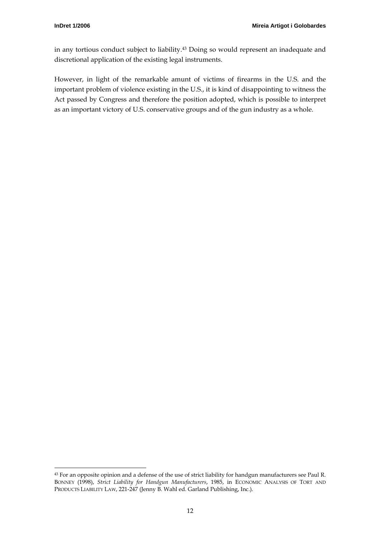in any tortious conduct subject to liability[.43](#page-11-0) Doing so would represent an inadequate and discretional application of the existing legal instruments.

However, in light of the remarkable amunt of victims of firearms in the U.S. and the important problem of violence existing in the U.S., it is kind of disappointing to witness the Act passed by Congress and therefore the position adopted, which is possible to interpret as an important victory of U.S. conservative groups and of the gun industry as a whole.

<span id="page-11-0"></span><sup>&</sup>lt;sup>43</sup> For an opposite opinion and a defense of the use of strict liability for handgun manufacturers see Paul R. BONNEY (1998), *Strict Liability for Handgun Manufacturers*, 1985, in ECONOMIC ANALYSIS OF TORT AND PRODUCTS LIABILITY LAW, 221-247 (Jenny B. Wahl ed. Garland Publishing, Inc.).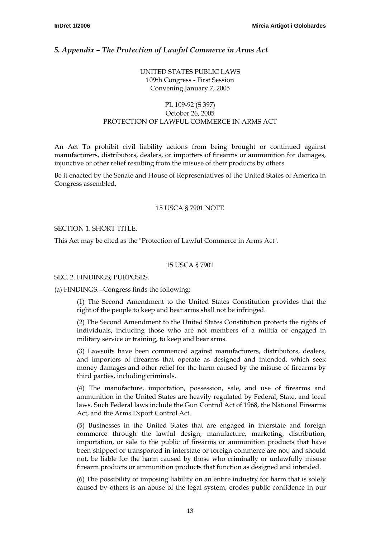## <span id="page-12-0"></span>*5. Appendix – The Protection of Lawful Commerce in Arms Act*

#### UNITED STATES PUBLIC LAWS 109th Congress - First Session Convening January 7, 2005

#### PL 109-92 (S 397) October 26, 2005 PROTECTION OF LAWFUL COMMERCE IN ARMS ACT

An Act To prohibit civil liability actions from being brought or continued against manufacturers, distributors, dealers, or importers of firearms or ammunition for damages, injunctive or other relief resulting from the misuse of their products by others.

Be it enacted by the Senate and House of Representatives of the United States of America in Congress assembled,

#### 15 USCA § 7901 NOTE

#### SECTION 1. SHORT TITLE.

This Act may be cited as the "Protection of Lawful Commerce in Arms Act".

#### 15 USCA § 7901

SEC. 2. FINDINGS; PURPOSES.

(a) FINDINGS.--Congress finds the following:

(1) The Second Amendment to the United States Constitution provides that the right of the people to keep and bear arms shall not be infringed.

(2) The Second Amendment to the United States Constitution protects the rights of individuals, including those who are not members of a militia or engaged in military service or training, to keep and bear arms.

(3) Lawsuits have been commenced against manufacturers, distributors, dealers, and importers of firearms that operate as designed and intended, which seek money damages and other relief for the harm caused by the misuse of firearms by third parties, including criminals.

(4) The manufacture, importation, possession, sale, and use of firearms and ammunition in the United States are heavily regulated by Federal, State, and local laws. Such Federal laws include the Gun Control Act of 1968, the National Firearms Act, and the Arms Export Control Act.

(5) Businesses in the United States that are engaged in interstate and foreign commerce through the lawful design, manufacture, marketing, distribution, importation, or sale to the public of firearms or ammunition products that have been shipped or transported in interstate or foreign commerce are not, and should not, be liable for the harm caused by those who criminally or unlawfully misuse firearm products or ammunition products that function as designed and intended.

(6) The possibility of imposing liability on an entire industry for harm that is solely caused by others is an abuse of the legal system, erodes public confidence in our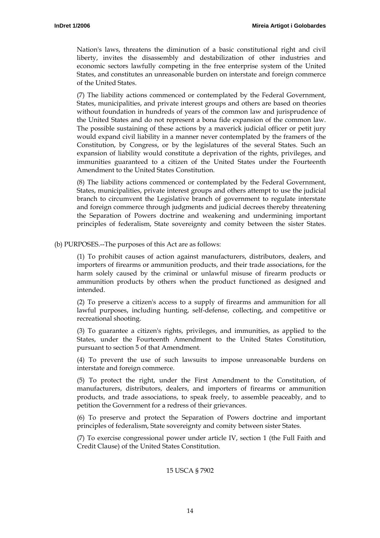Nation's laws, threatens the diminution of a basic constitutional right and civil liberty, invites the disassembly and destabilization of other industries and economic sectors lawfully competing in the free enterprise system of the United States, and constitutes an unreasonable burden on interstate and foreign commerce of the United States.

(7) The liability actions commenced or contemplated by the Federal Government, States, municipalities, and private interest groups and others are based on theories without foundation in hundreds of years of the common law and jurisprudence of the United States and do not represent a bona fide expansion of the common law. The possible sustaining of these actions by a maverick judicial officer or petit jury would expand civil liability in a manner never contemplated by the framers of the Constitution, by Congress, or by the legislatures of the several States. Such an expansion of liability would constitute a deprivation of the rights, privileges, and immunities guaranteed to a citizen of the United States under the Fourteenth Amendment to the United States Constitution.

(8) The liability actions commenced or contemplated by the Federal Government, States, municipalities, private interest groups and others attempt to use the judicial branch to circumvent the Legislative branch of government to regulate interstate and foreign commerce through judgments and judicial decrees thereby threatening the Separation of Powers doctrine and weakening and undermining important principles of federalism, State sovereignty and comity between the sister States.

#### (b) PURPOSES.--The purposes of this Act are as follows:

(1) To prohibit causes of action against manufacturers, distributors, dealers, and importers of firearms or ammunition products, and their trade associations, for the harm solely caused by the criminal or unlawful misuse of firearm products or ammunition products by others when the product functioned as designed and intended.

(2) To preserve a citizen's access to a supply of firearms and ammunition for all lawful purposes, including hunting, self-defense, collecting, and competitive or recreational shooting.

(3) To guarantee a citizen's rights, privileges, and immunities, as applied to the States, under the Fourteenth Amendment to the United States Constitution, pursuant to section 5 of that Amendment.

(4) To prevent the use of such lawsuits to impose unreasonable burdens on interstate and foreign commerce.

(5) To protect the right, under the First Amendment to the Constitution, of manufacturers, distributors, dealers, and importers of firearms or ammunition products, and trade associations, to speak freely, to assemble peaceably, and to petition the Government for a redress of their grievances.

(6) To preserve and protect the Separation of Powers doctrine and important principles of federalism, State sovereignty and comity between sister States.

(7) To exercise congressional power under article IV, section 1 (the Full Faith and Credit Clause) of the United States Constitution.

#### 15 USCA § 7902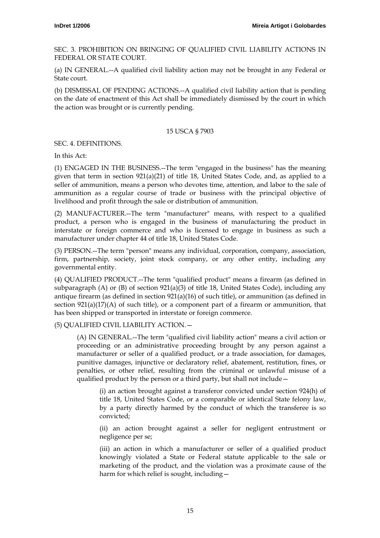SEC. 3. PROHIBITION ON BRINGING OF QUALIFIED CIVIL LIABILITY ACTIONS IN FEDERAL OR STATE COURT.

(a) IN GENERAL.--A qualified civil liability action may not be brought in any Federal or State court.

(b) DISMISSAL OF PENDING ACTIONS.--A qualified civil liability action that is pending on the date of enactment of this Act shall be immediately dismissed by the court in which the action was brought or is currently pending.

#### 15 USCA § 7903

SEC. 4. DEFINITIONS.

In this Act:

(1) ENGAGED IN THE BUSINESS.--The term "engaged in the business" has the meaning given that term in section  $921(a)(21)$  of title 18, United States Code, and, as applied to a seller of ammunition, means a person who devotes time, attention, and labor to the sale of ammunition as a regular course of trade or business with the principal objective of livelihood and profit through the sale or distribution of ammunition.

(2) MANUFACTURER.--The term "manufacturer" means, with respect to a qualified product, a person who is engaged in the business of manufacturing the product in interstate or foreign commerce and who is licensed to engage in business as such a manufacturer under chapter 44 of title 18, United States Code.

(3) PERSON.--The term "person" means any individual, corporation, company, association, firm, partnership, society, joint stock company, or any other entity, including any governmental entity.

(4) QUALIFIED PRODUCT.--The term "qualified product" means a firearm (as defined in subparagraph (A) or (B) of section 921(a)(3) of title 18, United States Code), including any antique firearm (as defined in section 921(a)(16) of such title), or ammunition (as defined in section  $921(a)(17)(A)$  of such title), or a component part of a firearm or ammunition, that has been shipped or transported in interstate or foreign commerce.

(5) QUALIFIED CIVIL LIABILITY ACTION.—

(A) IN GENERAL.--The term "qualified civil liability action" means a civil action or proceeding or an administrative proceeding brought by any person against a manufacturer or seller of a qualified product, or a trade association, for damages, punitive damages, injunctive or declaratory relief, abatement, restitution, fines, or penalties, or other relief, resulting from the criminal or unlawful misuse of a qualified product by the person or a third party, but shall not include—

(i) an action brought against a transferor convicted under section 924(h) of title 18, United States Code, or a comparable or identical State felony law, by a party directly harmed by the conduct of which the transferee is so convicted;

(ii) an action brought against a seller for negligent entrustment or negligence per se;

(iii) an action in which a manufacturer or seller of a qualified product knowingly violated a State or Federal statute applicable to the sale or marketing of the product, and the violation was a proximate cause of the harm for which relief is sought, including—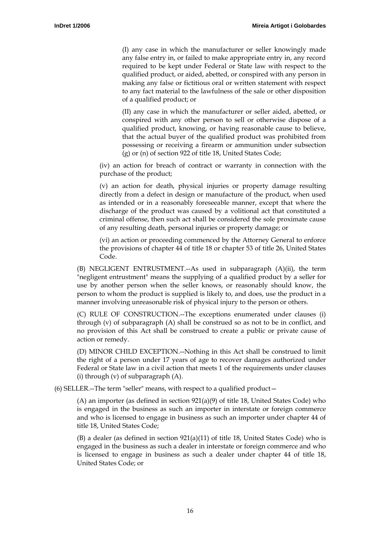(I) any case in which the manufacturer or seller knowingly made any false entry in, or failed to make appropriate entry in, any record required to be kept under Federal or State law with respect to the qualified product, or aided, abetted, or conspired with any person in making any false or fictitious oral or written statement with respect to any fact material to the lawfulness of the sale or other disposition of a qualified product; or

(II) any case in which the manufacturer or seller aided, abetted, or conspired with any other person to sell or otherwise dispose of a qualified product, knowing, or having reasonable cause to believe, that the actual buyer of the qualified product was prohibited from possessing or receiving a firearm or ammunition under subsection (g) or (n) of section 922 of title 18, United States Code;

(iv) an action for breach of contract or warranty in connection with the purchase of the product;

(v) an action for death, physical injuries or property damage resulting directly from a defect in design or manufacture of the product, when used as intended or in a reasonably foreseeable manner, except that where the discharge of the product was caused by a volitional act that constituted a criminal offense, then such act shall be considered the sole proximate cause of any resulting death, personal injuries or property damage; or

(vi) an action or proceeding commenced by the Attorney General to enforce the provisions of chapter 44 of title 18 or chapter 53 of title 26, United States Code.

(B) NEGLIGENT ENTRUSTMENT.--As used in subparagraph (A)(ii), the term "negligent entrustment" means the supplying of a qualified product by a seller for use by another person when the seller knows, or reasonably should know, the person to whom the product is supplied is likely to, and does, use the product in a manner involving unreasonable risk of physical injury to the person or others.

(C) RULE OF CONSTRUCTION.--The exceptions enumerated under clauses (i) through (v) of subparagraph (A) shall be construed so as not to be in conflict, and no provision of this Act shall be construed to create a public or private cause of action or remedy.

(D) MINOR CHILD EXCEPTION.--Nothing in this Act shall be construed to limit the right of a person under 17 years of age to recover damages authorized under Federal or State law in a civil action that meets 1 of the requirements under clauses (i) through (v) of subparagraph (A).

(6) SELLER.--The term "seller" means, with respect to a qualified product—

 $(A)$  an importer (as defined in section  $921(a)(9)$  of title 18, United States Code) who is engaged in the business as such an importer in interstate or foreign commerce and who is licensed to engage in business as such an importer under chapter 44 of title 18, United States Code;

(B) a dealer (as defined in section  $921(a)(11)$  of title 18, United States Code) who is engaged in the business as such a dealer in interstate or foreign commerce and who is licensed to engage in business as such a dealer under chapter 44 of title 18, United States Code; or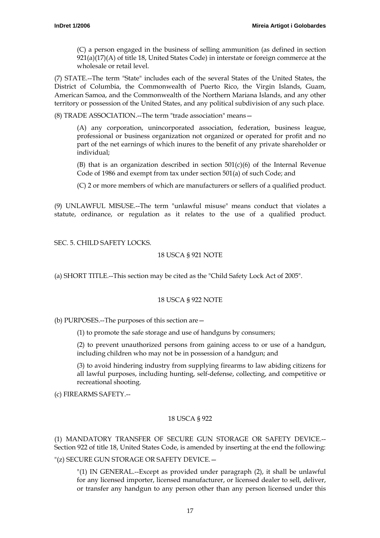(C) a person engaged in the business of selling ammunition (as defined in section 921(a)(17)(A) of title 18, United States Code) in interstate or foreign commerce at the wholesale or retail level.

(7) STATE.--The term "State" includes each of the several States of the United States, the District of Columbia, the Commonwealth of Puerto Rico, the Virgin Islands, Guam, American Samoa, and the Commonwealth of the Northern Mariana Islands, and any other territory or possession of the United States, and any political subdivision of any such place.

(8) TRADE ASSOCIATION.--The term "trade association" means—

(A) any corporation, unincorporated association, federation, business league, professional or business organization not organized or operated for profit and no part of the net earnings of which inures to the benefit of any private shareholder or individual;

(B) that is an organization described in section  $501(c)(6)$  of the Internal Revenue Code of 1986 and exempt from tax under section 501(a) of such Code; and

(C) 2 or more members of which are manufacturers or sellers of a qualified product.

(9) UNLAWFUL MISUSE.--The term "unlawful misuse" means conduct that violates a statute, ordinance, or regulation as it relates to the use of a qualified product.

SEC. 5. CHILD SAFETY LOCKS.

#### 18 USCA § 921 NOTE

(a) SHORT TITLE.--This section may be cited as the "Child Safety Lock Act of 2005".

#### 18 USCA § 922 NOTE

(b) PURPOSES.--The purposes of this section are—

(1) to promote the safe storage and use of handguns by consumers;

(2) to prevent unauthorized persons from gaining access to or use of a handgun, including children who may not be in possession of a handgun; and

(3) to avoid hindering industry from supplying firearms to law abiding citizens for all lawful purposes, including hunting, self-defense, collecting, and competitive or recreational shooting.

(c) FIREARMS SAFETY.--

#### 18 USCA § 922

(1) MANDATORY TRANSFER OF SECURE GUN STORAGE OR SAFETY DEVICE.-- Section 922 of title 18, United States Code, is amended by inserting at the end the following:

"(z) SECURE GUN STORAGE OR SAFETY DEVICE.—

"(1) IN GENERAL.--Except as provided under paragraph (2), it shall be unlawful for any licensed importer, licensed manufacturer, or licensed dealer to sell, deliver, or transfer any handgun to any person other than any person licensed under this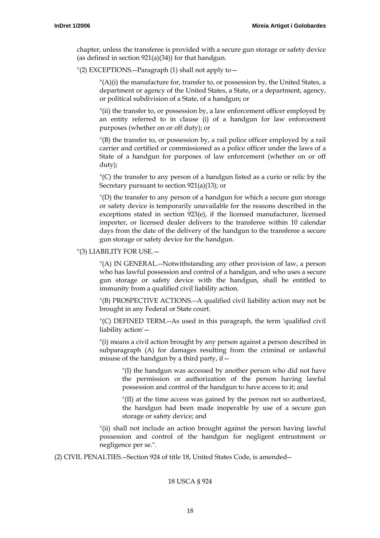chapter, unless the transferee is provided with a secure gun storage or safety device (as defined in section  $921(a)(34)$ ) for that handgun.

"(2) EXCEPTIONS.--Paragraph (1) shall not apply to—

 $\mathcal{L}(\mathbf{A})(i)$  the manufacture for, transfer to, or possession by, the United States, a department or agency of the United States, a State, or a department, agency, or political subdivision of a State, of a handgun; or

"(ii) the transfer to, or possession by, a law enforcement officer employed by an entity referred to in clause (i) of a handgun for law enforcement purposes (whether on or off duty); or

"(B) the transfer to, or possession by, a rail police officer employed by a rail carrier and certified or commissioned as a police officer under the laws of a State of a handgun for purposes of law enforcement (whether on or off duty);

"(C) the transfer to any person of a handgun listed as a curio or relic by the Secretary pursuant to section 921(a)(13); or

"(D) the transfer to any person of a handgun for which a secure gun storage or safety device is temporarily unavailable for the reasons described in the exceptions stated in section 923(e), if the licensed manufacturer, licensed importer, or licensed dealer delivers to the transferee within 10 calendar days from the date of the delivery of the handgun to the transferee a secure gun storage or safety device for the handgun.

#### "(3) LIABILITY FOR USE.—

"(A) IN GENERAL.--Notwithstanding any other provision of law, a person who has lawful possession and control of a handgun, and who uses a secure gun storage or safety device with the handgun, shall be entitled to immunity from a qualified civil liability action.

"(B) PROSPECTIVE ACTIONS.--A qualified civil liability action may not be brought in any Federal or State court.

"(C) DEFINED TERM.--As used in this paragraph, the term 'qualified civil liability action'—

"(i) means a civil action brought by any person against a person described in subparagraph (A) for damages resulting from the criminal or unlawful misuse of the handgun by a third party, if  $-$ 

"(I) the handgun was accessed by another person who did not have the permission or authorization of the person having lawful possession and control of the handgun to have access to it; and

"(II) at the time access was gained by the person not so authorized, the handgun had been made inoperable by use of a secure gun storage or safety device; and

"(ii) shall not include an action brought against the person having lawful possession and control of the handgun for negligent entrustment or negligence per se.".

(2) CIVIL PENALTIES.--Section 924 of title 18, United States Code, is amended--

#### 18 USCA § 924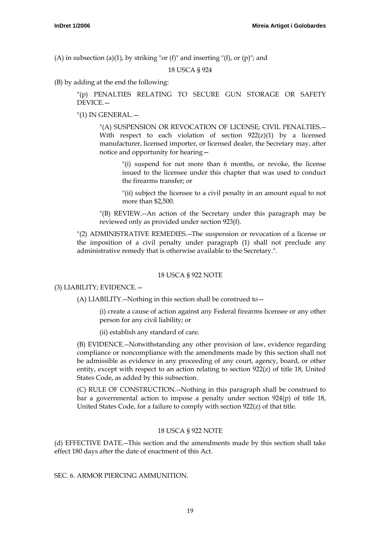(A) in subsection (a)(1), by striking "or (f)" and inserting "(f), or (p)"; and

18 USCA § 924

(B) by adding at the end the following:

"(p) PENALTIES RELATING TO SECURE GUN STORAGE OR SAFETY DEVICE.—

"(1) IN GENERAL.—

"(A) SUSPENSION OR REVOCATION OF LICENSE; CIVIL PENALTIES.-- With respect to each violation of section  $922(z)(1)$  by a licensed manufacturer, licensed importer, or licensed dealer, the Secretary may, after notice and opportunity for hearing—

"(i) suspend for not more than 6 months, or revoke, the license issued to the licensee under this chapter that was used to conduct the firearms transfer; or

"(ii) subject the licensee to a civil penalty in an amount equal to not more than \$2,500.

"(B) REVIEW.--An action of the Secretary under this paragraph may be reviewed only as provided under section 923(f).

"(2) ADMINISTRATIVE REMEDIES.--The suspension or revocation of a license or the imposition of a civil penalty under paragraph (1) shall not preclude any administrative remedy that is otherwise available to the Secretary.".

#### 18 USCA § 922 NOTE

#### (3) LIABILITY; EVIDENCE.—

(A) LIABILITY.--Nothing in this section shall be construed to—

(i) create a cause of action against any Federal firearms licensee or any other person for any civil liability; or

(ii) establish any standard of care.

(B) EVIDENCE.--Notwithstanding any other provision of law, evidence regarding compliance or noncompliance with the amendments made by this section shall not be admissible as evidence in any proceeding of any court, agency, board, or other entity, except with respect to an action relating to section  $922(z)$  of title 18, United States Code, as added by this subsection.

(C) RULE OF CONSTRUCTION.--Nothing in this paragraph shall be construed to bar a governmental action to impose a penalty under section  $924(p)$  of title 18, United States Code, for a failure to comply with section 922(z) of that title.

#### 18 USCA § 922 NOTE

(d) EFFECTIVE DATE.--This section and the amendments made by this section shall take effect 180 days after the date of enactment of this Act.

SEC. 6. ARMOR PIERCING AMMUNITION.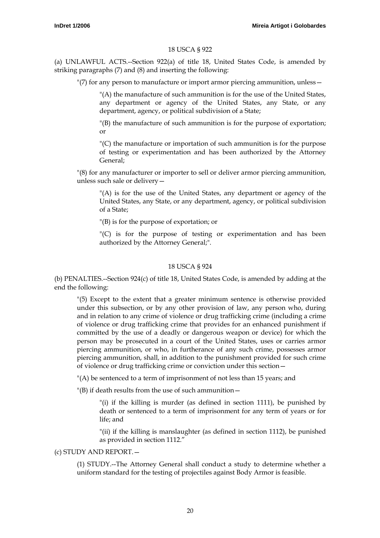#### 18 USCA § 922

(a) UNLAWFUL ACTS.--Section 922(a) of title 18, United States Code, is amended by striking paragraphs (7) and (8) and inserting the following:

"(7) for any person to manufacture or import armor piercing ammunition, unless—

"(A) the manufacture of such ammunition is for the use of the United States, any department or agency of the United States, any State, or any department, agency, or political subdivision of a State;

"(B) the manufacture of such ammunition is for the purpose of exportation; or

"(C) the manufacture or importation of such ammunition is for the purpose of testing or experimentation and has been authorized by the Attorney General;

"(8) for any manufacturer or importer to sell or deliver armor piercing ammunition, unless such sale or delivery—

"(A) is for the use of the United States, any department or agency of the United States, any State, or any department, agency, or political subdivision of a State;

"(B) is for the purpose of exportation; or

"(C) is for the purpose of testing or experimentation and has been authorized by the Attorney General;".

#### 18 USCA § 924

(b) PENALTIES.--Section 924(c) of title 18, United States Code, is amended by adding at the end the following:

"(5) Except to the extent that a greater minimum sentence is otherwise provided under this subsection, or by any other provision of law, any person who, during and in relation to any crime of violence or drug trafficking crime (including a crime of violence or drug trafficking crime that provides for an enhanced punishment if committed by the use of a deadly or dangerous weapon or device) for which the person may be prosecuted in a court of the United States, uses or carries armor piercing ammunition, or who, in furtherance of any such crime, possesses armor piercing ammunition, shall, in addition to the punishment provided for such crime of violence or drug trafficking crime or conviction under this section—

"(A) be sentenced to a term of imprisonment of not less than 15 years; and

"(B) if death results from the use of such ammunition—

"(i) if the killing is murder (as defined in section 1111), be punished by death or sentenced to a term of imprisonment for any term of years or for life; and

"(ii) if the killing is manslaughter (as defined in section 1112), be punished as provided in section 1112."

#### (c) STUDY AND REPORT.—

(1) STUDY.--The Attorney General shall conduct a study to determine whether a uniform standard for the testing of projectiles against Body Armor is feasible.